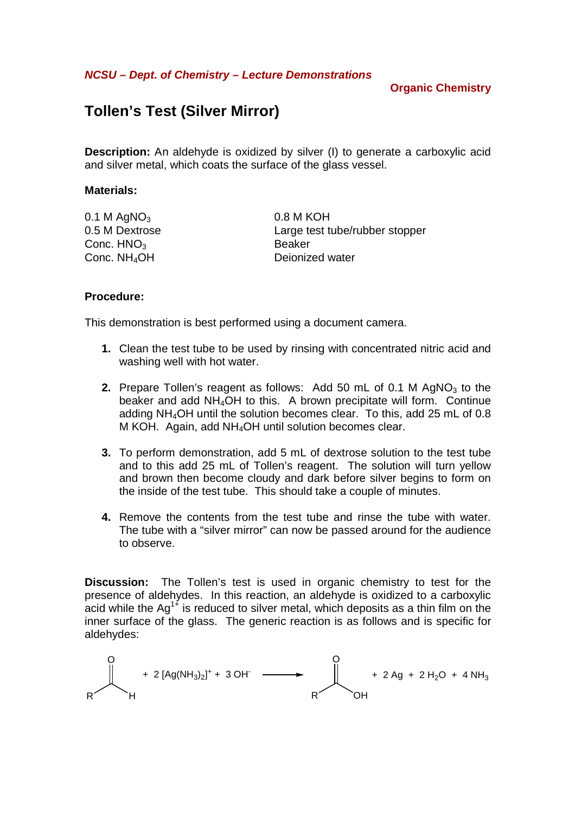**NCSU – Dept. of Chemistry – Lecture Demonstrations** 

# **Organic Chemistry**

# **Tollen's Test (Silver Mirror)**

**Description:** An aldehyde is oxidized by silver (I) to generate a carboxylic acid and silver metal, which coats the surface of the glass vessel.

#### **Materials:**

| 0.1 M AgNO $_3$          | 0.8 M KOH                      |
|--------------------------|--------------------------------|
| 0.5 M Dextrose           | Large test tube/rubber stopper |
| Conc. $HNO3$             | Beaker                         |
| Conc. NH <sub>4</sub> OH | Deionized water                |
|                          |                                |

### **Procedure:**

This demonstration is best performed using a document camera.

- **1.** Clean the test tube to be used by rinsing with concentrated nitric acid and washing well with hot water.
- **2.** Prepare Tollen's reagent as follows: Add 50 mL of 0.1 M AgNO<sub>3</sub> to the beaker and add NH<sub>4</sub>OH to this. A brown precipitate will form. Continue adding NH4OH until the solution becomes clear. To this, add 25 mL of 0.8 M KOH. Again, add NH4OH until solution becomes clear.
- **3.** To perform demonstration, add 5 mL of dextrose solution to the test tube and to this add 25 mL of Tollen's reagent. The solution will turn yellow and brown then become cloudy and dark before silver begins to form on the inside of the test tube. This should take a couple of minutes.
- **4.** Remove the contents from the test tube and rinse the tube with water. The tube with a "silver mirror" can now be passed around for the audience to observe.

**Discussion:** The Tollen's test is used in organic chemistry to test for the presence of aldehydes. In this reaction, an aldehyde is oxidized to a carboxylic acid while the  $Aq^{1+}$  is reduced to silver metal, which deposits as a thin film on the inner surface of the glass. The generic reaction is as follows and is specific for aldehydes:

$$
+ 2[Ag(NH_3)_2]^+ + 3OH \longrightarrow 0 + 2Ag + 2H_2O + 4NH_3
$$